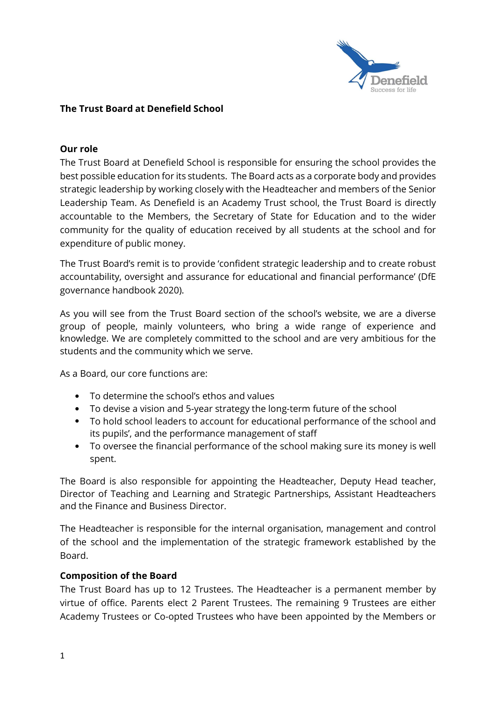

### The Trust Board at Denefield School

### Our role

The Trust Board at Denefield School is responsible for ensuring the school provides the best possible education for its students. The Board acts as a corporate body and provides strategic leadership by working closely with the Headteacher and members of the Senior Leadership Team. As Denefield is an Academy Trust school, the Trust Board is directly accountable to the Members, the Secretary of State for Education and to the wider community for the quality of education received by all students at the school and for expenditure of public money.

The Trust Board's remit is to provide 'confident strategic leadership and to create robust accountability, oversight and assurance for educational and financial performance' (DfE governance handbook 2020).

As you will see from the Trust Board section of the school's website, we are a diverse group of people, mainly volunteers, who bring a wide range of experience and knowledge. We are completely committed to the school and are very ambitious for the students and the community which we serve.

As a Board, our core functions are:

- To determine the school's ethos and values
- To devise a vision and 5-year strategy the long-term future of the school
- To hold school leaders to account for educational performance of the school and its pupils', and the performance management of staff
- To oversee the financial performance of the school making sure its money is well spent.

The Board is also responsible for appointing the Headteacher, Deputy Head teacher, Director of Teaching and Learning and Strategic Partnerships, Assistant Headteachers and the Finance and Business Director.

The Headteacher is responsible for the internal organisation, management and control of the school and the implementation of the strategic framework established by the Board.

### Composition of the Board

The Trust Board has up to 12 Trustees. The Headteacher is a permanent member by virtue of office. Parents elect 2 Parent Trustees. The remaining 9 Trustees are either Academy Trustees or Co-opted Trustees who have been appointed by the Members or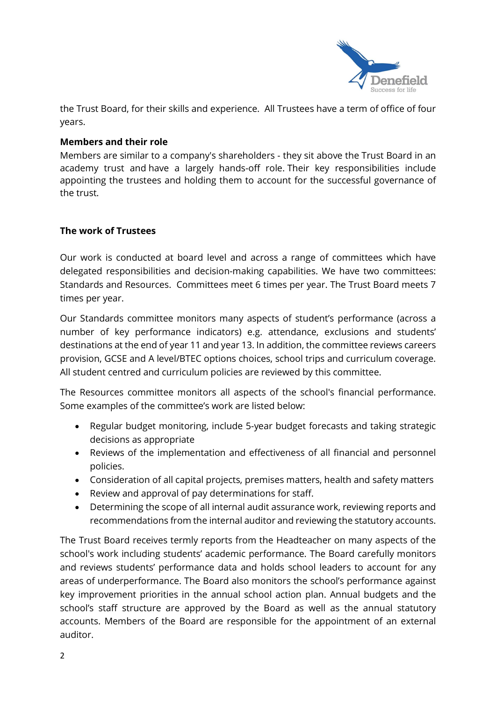

the Trust Board, for their skills and experience. All Trustees have a term of office of four years.

# Members and their role

Members are similar to a company's shareholders - they sit above the Trust Board in an academy trust and have a largely hands-off role. Their key responsibilities include appointing the trustees and holding them to account for the successful governance of the trust.

# The work of Trustees

Our work is conducted at board level and across a range of committees which have delegated responsibilities and decision-making capabilities. We have two committees: Standards and Resources. Committees meet 6 times per year. The Trust Board meets 7 times per year.

Our Standards committee monitors many aspects of student's performance (across a number of key performance indicators) e.g. attendance, exclusions and students' destinations at the end of year 11 and year 13. In addition, the committee reviews careers provision, GCSE and A level/BTEC options choices, school trips and curriculum coverage. All student centred and curriculum policies are reviewed by this committee.

The Resources committee monitors all aspects of the school's financial performance. Some examples of the committee's work are listed below:

- Regular budget monitoring, include 5-year budget forecasts and taking strategic decisions as appropriate
- Reviews of the implementation and effectiveness of all financial and personnel policies.
- Consideration of all capital projects, premises matters, health and safety matters
- Review and approval of pay determinations for staff.
- Determining the scope of all internal audit assurance work, reviewing reports and recommendations from the internal auditor and reviewing the statutory accounts.

The Trust Board receives termly reports from the Headteacher on many aspects of the school's work including students' academic performance. The Board carefully monitors and reviews students' performance data and holds school leaders to account for any areas of underperformance. The Board also monitors the school's performance against key improvement priorities in the annual school action plan. Annual budgets and the school's staff structure are approved by the Board as well as the annual statutory accounts. Members of the Board are responsible for the appointment of an external auditor.